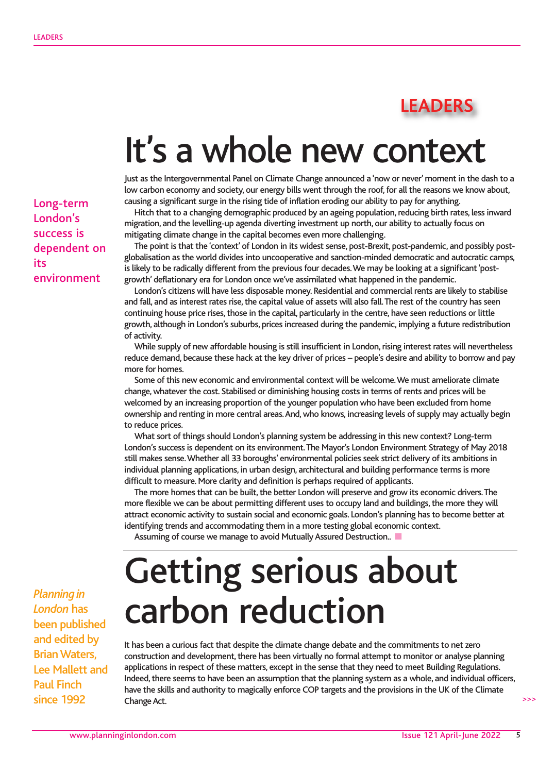## **LEADERS**

## It's a whole new context

Just as the Intergovernmental Panel on Climate Change announced a 'now or never' moment in the dash to a low carbon economy and society, our energy bills went through the roof, for all the reasons we know about, causing a significant surge in the rising tide of inflation eroding our ability to pay for anything.

Hitch that to a changing demographic produced by an ageing population, reducing birth rates, less inward migration, and the levelling-up agenda diverting investment up north, our ability to actually focus on mitigating climate change in the capital becomes even more challenging.

The point is that the 'context' of London in its widest sense, post-Brexit, post-pandemic, and possibly postglobalisation as the world divides into uncooperative and sanction-minded democratic and autocratic camps, is likely to be radically different from the previous four decades. We may be looking at a significant 'postgrowth' deflationary era for London once we've assimilated what happened in the pandemic.

London's citizens will have less disposable money. Residential and commercial rents are likely to stabilise and fall, and as interest rates rise, the capital value of assets will also fall. The rest of the country has seen continuing house price rises, those in the capital, particularly in the centre, have seen reductions or little growth, although in London's suburbs, prices increased during the pandemic, implying a future redistribution of activity.

While supply of new affordable housing is still insufficient in London, rising interest rates will nevertheless reduce demand, because these hack at the key driver of prices – people's desire and ability to borrow and pay more for homes.

Some of this new economic and environmental context will be welcome. We must ameliorate climate change, whatever the cost. Stabilised or diminishing housing costs in terms of rents and prices will be welcomed by an increasing proportion of the younger population who have been excluded from home ownership and renting in more central areas. And, who knows, increasing levels of supply may actually begin to reduce prices.

What sort of things should London's planning system be addressing in this new context? Long-term London's success is dependent on its environment. The Mayor's London Environment Strategy of May 2018 still makes sense. Whether all 33 boroughs' environmental policies seek strict delivery of its ambitions in individual planning applications, in urban design, architectural and building performance terms is more difficult to measure. More clarity and definition is perhaps required of applicants.

The more homes that can be built, the better London will preserve and grow its economic drivers. The more flexible we can be about permitting different uses to occupy land and buildings, the more they will attract economic activity to sustain social and economic goals. London's planning has to become better at identifying trends and accommodating them in a more testing global economic context.

Assuming of course we manage to avoid Mutually Assured Destruction.

## Getting serious about carbon reduction

It has been a curious fact that despite the climate change debate and the commitments to net zero construction and development, there has been virtually no formal attempt to monitor or analyse planning applications in respect of these matters, except in the sense that they need to meet Building Regulations. Indeed, there seems to have been an assumption that the planning system as a whole, and individual officers, have the skills and authority to magically enforce COP targets and the provisions in the UK of the Climate Change Act.

Long-term London's success is dependent on its environment

*Planning in London* has been published and edited by Brian Waters, Lee Mallett and Paul Finch since 1992

 $\rightarrow$